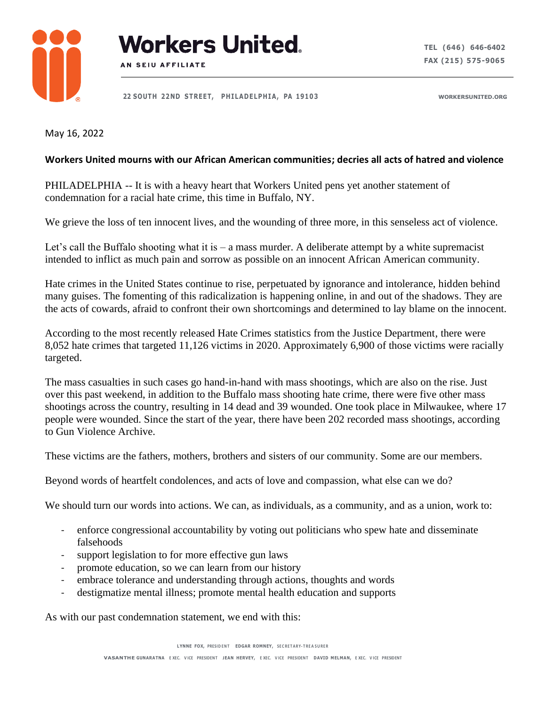



 **22 SOUTH 22ND STREET, PH I LADEL PH I A , PA 191 0 3 WORKERSUNITED.ORG**

May 16, 2022

## **Workers United mourns with our African American communities; decries all acts of hatred and violence**

PHILADELPHIA -- It is with a heavy heart that Workers United pens yet another statement of condemnation for a racial hate crime, this time in Buffalo, NY.

We grieve the loss of ten innocent lives, and the wounding of three more, in this senseless act of violence.

Let's call the Buffalo shooting what it is – a mass murder. A deliberate attempt by a white supremacist intended to inflict as much pain and sorrow as possible on an innocent African American community.

Hate crimes in the United States continue to rise, perpetuated by ignorance and intolerance, hidden behind many guises. The fomenting of this radicalization is happening online, in and out of the shadows. They are the acts of cowards, afraid to confront their own shortcomings and determined to lay blame on the innocent.

According to the most recently released Hate Crimes statistics from the Justice Department, there were 8,052 hate crimes that targeted 11,126 victims in 2020. Approximately 6,900 of those victims were racially targeted.

The mass casualties in such cases go hand-in-hand with mass shootings, which are also on the rise. Just over this past weekend, in addition to the Buffalo mass shooting hate crime, there were five other mass shootings across the country, resulting in 14 dead and 39 wounded. One took place in Milwaukee, where 17 people were wounded. Since the start of the year, there have been 202 recorded mass shootings, according to Gun Violence Archive.

These victims are the fathers, mothers, brothers and sisters of our community. Some are our members.

Beyond words of heartfelt condolences, and acts of love and compassion, what else can we do?

We should turn our words into actions. We can, as individuals, as a community, and as a union, work to:

- enforce congressional accountability by voting out politicians who spew hate and disseminate falsehoods
- support legislation to for more effective gun laws
- promote education, so we can learn from our history
- embrace tolerance and understanding through actions, thoughts and words
- destigmatize mental illness; promote mental health education and supports

As with our past condemnation statement, we end with this: